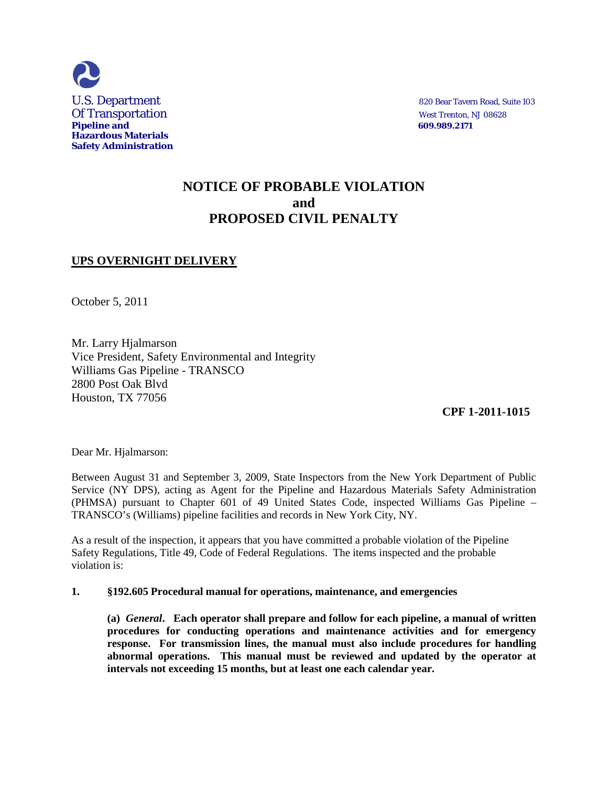

# **NOTICE OF PROBABLE VIOLATION and PROPOSED CIVIL PENALTY**

## **UPS OVERNIGHT DELIVERY**

October 5, 2011

Mr. Larry Hjalmarson Vice President, Safety Environmental and Integrity Williams Gas Pipeline - TRANSCO 2800 Post Oak Blvd Houston, TX 77056

 **CPF 1-2011-1015**

Dear Mr. Hjalmarson:

Between August 31 and September 3, 2009, State Inspectors from the New York Department of Public Service (NY DPS), acting as Agent for the Pipeline and Hazardous Materials Safety Administration (PHMSA) pursuant to Chapter 601 of 49 United States Code, inspected Williams Gas Pipeline – TRANSCO's (Williams) pipeline facilities and records in New York City, NY.

As a result of the inspection, it appears that you have committed a probable violation of the Pipeline Safety Regulations, Title 49, Code of Federal Regulations. The items inspected and the probable violation is:

### **1. §192.605 Procedural manual for operations, maintenance, and emergencies**

**(a)** *General***. Each operator shall prepare and follow for each pipeline, a manual of written procedures for conducting operations and maintenance activities and for emergency response. For transmission lines, the manual must also include procedures for handling abnormal operations. This manual must be reviewed and updated by the operator at intervals not exceeding 15 months, but at least one each calendar year.**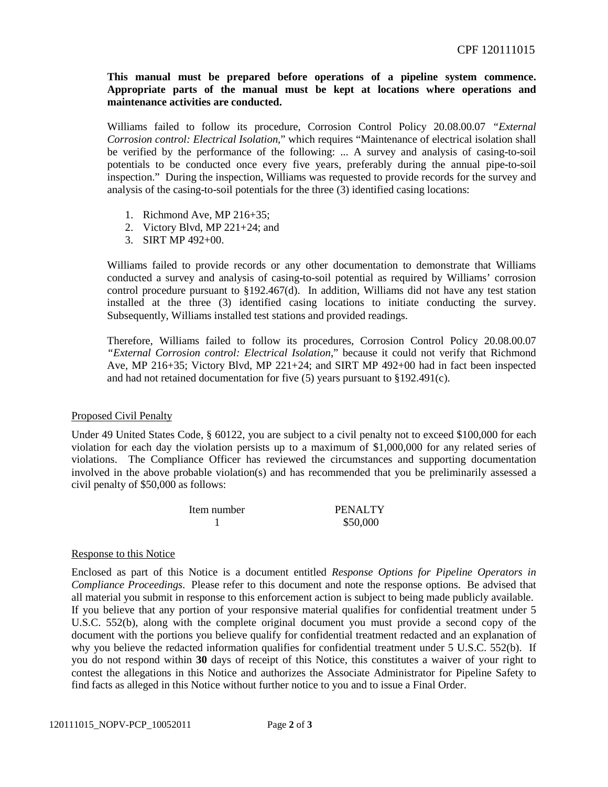**This manual must be prepared before operations of a pipeline system commence. Appropriate parts of the manual must be kept at locations where operations and maintenance activities are conducted.**

Williams failed to follow its procedure, Corrosion Control Policy 20.08.00.07 *"External Corrosion control: Electrical Isolation*," which requires "Maintenance of electrical isolation shall be verified by the performance of the following: ... A survey and analysis of casing-to-soil potentials to be conducted once every five years, preferably during the annual pipe-to-soil inspection." During the inspection, Williams was requested to provide records for the survey and analysis of the casing-to-soil potentials for the three (3) identified casing locations:

- 1. Richmond Ave, MP 216+35;
- 2. Victory Blvd, MP 221+24; and
- 3. SIRT MP 492+00.

Williams failed to provide records or any other documentation to demonstrate that Williams conducted a survey and analysis of casing-to-soil potential as required by Williams' corrosion control procedure pursuant to  $\S 192.467(d)$ . In addition, Williams did not have any test station installed at the three (3) identified casing locations to initiate conducting the survey. Subsequently, Williams installed test stations and provided readings.

Therefore, Williams failed to follow its procedures, Corrosion Control Policy 20.08.00.07 *"External Corrosion control: Electrical Isolation*," because it could not verify that Richmond Ave, MP 216+35; Victory Blvd, MP 221+24; and SIRT MP 492+00 had in fact been inspected and had not retained documentation for five (5) years pursuant to §192.491(c).

### Proposed Civil Penalty

Under 49 United States Code, § 60122, you are subject to a civil penalty not to exceed \$100,000 for each violation for each day the violation persists up to a maximum of \$1,000,000 for any related series of violations. The Compliance Officer has reviewed the circumstances and supporting documentation involved in the above probable violation(s) and has recommended that you be preliminarily assessed a civil penalty of \$50,000 as follows:

| Item number | <b>PENALTY</b> |
|-------------|----------------|
|             | \$50,000       |

#### Response to this Notice

Enclosed as part of this Notice is a document entitled *Response Options for Pipeline Operators in Compliance Proceedings*. Please refer to this document and note the response options. Be advised that all material you submit in response to this enforcement action is subject to being made publicly available. If you believe that any portion of your responsive material qualifies for confidential treatment under 5 U.S.C. 552(b), along with the complete original document you must provide a second copy of the document with the portions you believe qualify for confidential treatment redacted and an explanation of why you believe the redacted information qualifies for confidential treatment under 5 U.S.C. 552(b). If you do not respond within **30** days of receipt of this Notice, this constitutes a waiver of your right to contest the allegations in this Notice and authorizes the Associate Administrator for Pipeline Safety to find facts as alleged in this Notice without further notice to you and to issue a Final Order.